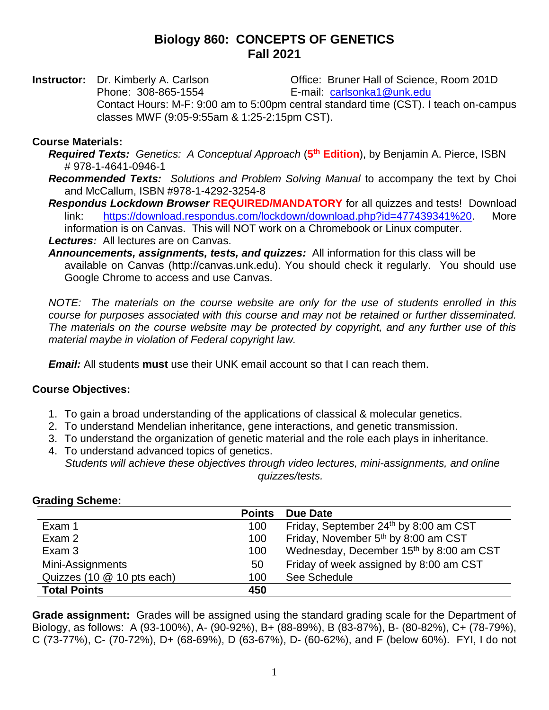# **Biology 860: CONCEPTS OF GENETICS Fall 2021**

**Instructor:** Dr. Kimberly A. Carlson **Office: Bruner Hall of Science, Room 201D** Phone: 308-865-1554 E-mail: [carlsonka1@unk.edu](mailto:carlsonka1@unk.edu) Contact Hours: M-F: 9:00 am to 5:00pm central standard time (CST). I teach on-campus classes MWF (9:05-9:55am & 1:25-2:15pm CST).

#### **Course Materials:**

- *Required Texts: Genetics: A Conceptual Approach* (**5 th Edition**), by Benjamin A. Pierce, ISBN # 978-1-4641-0946-1
- *Recommended Texts: Solutions and Problem Solving Manual* to accompany the text by Choi and McCallum, ISBN #978-1-4292-3254-8
- *Respondus Lockdown Browser* **REQUIRED/MANDATORY** for all quizzes and tests! Download link: [https://download.respondus.com/lockdown/download.php?id=477439341%20.](https://download.respondus.com/lockdown/download.php?id=477439341%20) More information is on Canvas. This will NOT work on a Chromebook or Linux computer. *Lectures:* All lectures are on Canvas.
- *Announcements, assignments, tests, and quizzes:* All information for this class will be available on Canvas (http://canvas.unk.edu). You should check it regularly. You should use Google Chrome to access and use Canvas.

*NOTE: The materials on the course website are only for the use of students enrolled in this course for purposes associated with this course and may not be retained or further disseminated. The materials on the course website may be protected by copyright, and any further use of this material maybe in violation of Federal copyright law.*

*Email:* All students **must** use their UNK email account so that I can reach them.

### **Course Objectives:**

- 1. To gain a broad understanding of the applications of classical & molecular genetics.
- 2. To understand Mendelian inheritance, gene interactions, and genetic transmission.
- 3. To understand the organization of genetic material and the role each plays in inheritance.
- 4. To understand advanced topics of genetics. *Students will achieve these objectives through video lectures, mini-assignments, and online quizzes/tests.*

**Points Due Date** Exam 1 100 Friday, September 24<sup>th</sup> by 8:00 am CST Exam 2 **100** Friday, November 5<sup>th</sup> by 8:00 am CST Exam 3 100 Wednesday, December 15<sup>th</sup> by 8:00 am CST Mini-Assignments 50 Friday of week assigned by 8:00 am CST Quizzes (10 @ 10 pts each) 100 See Schedule **Total Points 450**

**Grading Scheme:**

**Grade assignment:** Grades will be assigned using the standard grading scale for the Department of Biology, as follows: A (93-100%), A- (90-92%), B+ (88-89%), B (83-87%), B- (80-82%), C+ (78-79%), C (73-77%), C- (70-72%), D+ (68-69%), D (63-67%), D- (60-62%), and F (below 60%). FYI, I do not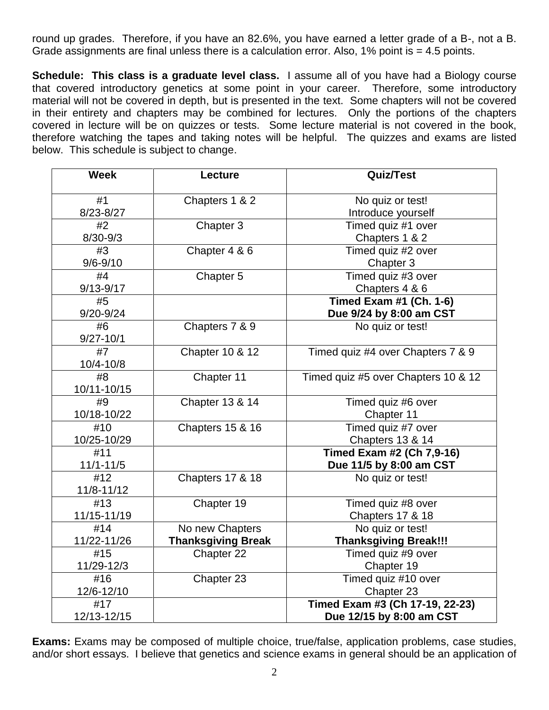round up grades. Therefore, if you have an 82.6%, you have earned a letter grade of a B-, not a B. Grade assignments are final unless there is a calculation error. Also,  $1\%$  point is = 4.5 points.

**Schedule: This class is a graduate level class.** I assume all of you have had a Biology course that covered introductory genetics at some point in your career. Therefore, some introductory material will not be covered in depth, but is presented in the text. Some chapters will not be covered in their entirety and chapters may be combined for lectures. Only the portions of the chapters covered in lecture will be on quizzes or tests. Some lecture material is not covered in the book, therefore watching the tapes and taking notes will be helpful. The quizzes and exams are listed below. This schedule is subject to change.

| <b>Week</b>   | Lecture                     | <b>Quiz/Test</b>                    |
|---------------|-----------------------------|-------------------------------------|
| #1            | Chapters 1 & 2              | No quiz or test!                    |
| 8/23-8/27     |                             |                                     |
|               |                             | Introduce yourself                  |
| #2            | Chapter 3                   | Timed quiz #1 over                  |
| $8/30 - 9/3$  |                             | Chapters 1 & 2                      |
| #3            | Chapter 4 & 6               | Timed quiz #2 over                  |
| $9/6 - 9/10$  |                             | Chapter 3                           |
| #4            | Chapter 5                   | Timed quiz #3 over                  |
| 9/13-9/17     |                             | Chapters 4 & 6                      |
| #5            |                             | Timed Exam #1 (Ch. 1-6)             |
| 9/20-9/24     |                             | Due 9/24 by 8:00 am CST             |
| #6            | Chapters 7 & 9              | No quiz or test!                    |
| $9/27 - 10/1$ |                             |                                     |
| #7            | Chapter 10 & 12             | Timed quiz #4 over Chapters 7 & 9   |
| 10/4-10/8     |                             |                                     |
| #8            | Chapter 11                  | Timed quiz #5 over Chapters 10 & 12 |
| 10/11-10/15   |                             |                                     |
| #9            | Chapter 13 & 14             | Timed quiz #6 over                  |
| 10/18-10/22   |                             | Chapter 11                          |
| #10           | <b>Chapters 15 &amp; 16</b> | Timed quiz #7 over                  |
| 10/25-10/29   |                             | Chapters 13 & 14                    |
| #11           |                             | Timed Exam #2 (Ch 7,9-16)           |
| $11/1 - 11/5$ |                             | Due 11/5 by 8:00 am CST             |
| #12           | Chapters 17 & 18            | No quiz or test!                    |
| 11/8-11/12    |                             |                                     |
| #13           | Chapter 19                  | Timed quiz #8 over                  |
| 11/15-11/19   |                             | Chapters 17 & 18                    |
| #14           | No new Chapters             | No quiz or test!                    |
| 11/22-11/26   | <b>Thanksgiving Break</b>   | <b>Thanksgiving Break!!!</b>        |
| #15           | Chapter 22                  | Timed quiz #9 over                  |
| 11/29-12/3    |                             | Chapter 19                          |
| #16           | Chapter 23                  | Timed quiz #10 over                 |
| 12/6-12/10    |                             | Chapter 23                          |
| #17           |                             | Timed Exam #3 (Ch 17-19, 22-23)     |
| 12/13-12/15   |                             | Due 12/15 by 8:00 am CST            |

**Exams:** Exams may be composed of multiple choice, true/false, application problems, case studies, and/or short essays. I believe that genetics and science exams in general should be an application of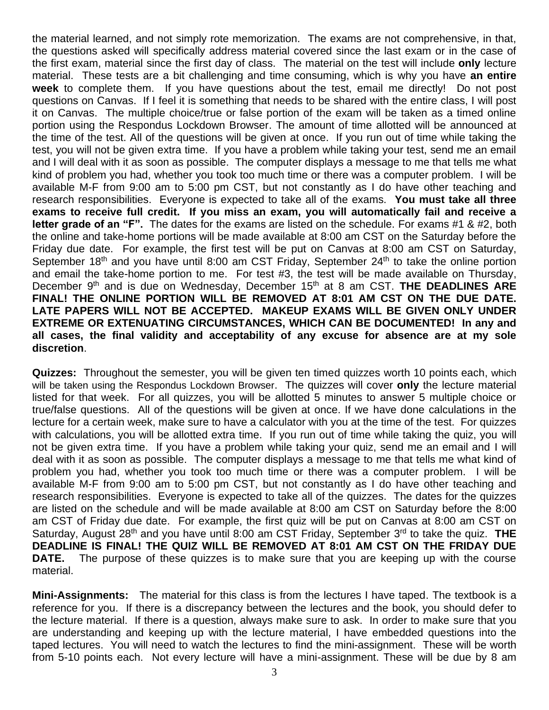the material learned, and not simply rote memorization. The exams are not comprehensive, in that, the questions asked will specifically address material covered since the last exam or in the case of the first exam, material since the first day of class. The material on the test will include **only** lecture material. These tests are a bit challenging and time consuming, which is why you have **an entire week** to complete them. If you have questions about the test, email me directly! Do not post questions on Canvas. If I feel it is something that needs to be shared with the entire class, I will post it on Canvas. The multiple choice/true or false portion of the exam will be taken as a timed online portion using the Respondus Lockdown Browser. The amount of time allotted will be announced at the time of the test. All of the questions will be given at once. If you run out of time while taking the test, you will not be given extra time. If you have a problem while taking your test, send me an email and I will deal with it as soon as possible. The computer displays a message to me that tells me what kind of problem you had, whether you took too much time or there was a computer problem. I will be available M-F from 9:00 am to 5:00 pm CST, but not constantly as I do have other teaching and research responsibilities. Everyone is expected to take all of the exams. **You must take all three exams to receive full credit. If you miss an exam, you will automatically fail and receive a letter grade of an "F".** The dates for the exams are listed on the schedule. For exams #1 & #2, both the online and take-home portions will be made available at 8:00 am CST on the Saturday before the Friday due date. For example, the first test will be put on Canvas at 8:00 am CST on Saturday, September  $18<sup>th</sup>$  and you have until 8:00 am CST Friday, September  $24<sup>th</sup>$  to take the online portion and email the take-home portion to me. For test #3, the test will be made available on Thursday, December 9<sup>th</sup> and is due on Wednesday, December 15<sup>th</sup> at 8 am CST. THE DEADLINES ARE **FINAL! THE ONLINE PORTION WILL BE REMOVED AT 8:01 AM CST ON THE DUE DATE. LATE PAPERS WILL NOT BE ACCEPTED. MAKEUP EXAMS WILL BE GIVEN ONLY UNDER EXTREME OR EXTENUATING CIRCUMSTANCES, WHICH CAN BE DOCUMENTED! In any and all cases, the final validity and acceptability of any excuse for absence are at my sole discretion**.

**Quizzes:** Throughout the semester, you will be given ten timed quizzes worth 10 points each, which will be taken using the Respondus Lockdown Browser. The quizzes will cover **only** the lecture material listed for that week. For all quizzes, you will be allotted 5 minutes to answer 5 multiple choice or true/false questions. All of the questions will be given at once. If we have done calculations in the lecture for a certain week, make sure to have a calculator with you at the time of the test. For quizzes with calculations, you will be allotted extra time. If you run out of time while taking the quiz, you will not be given extra time. If you have a problem while taking your quiz, send me an email and I will deal with it as soon as possible. The computer displays a message to me that tells me what kind of problem you had, whether you took too much time or there was a computer problem. I will be available M-F from 9:00 am to 5:00 pm CST, but not constantly as I do have other teaching and research responsibilities. Everyone is expected to take all of the quizzes. The dates for the quizzes are listed on the schedule and will be made available at 8:00 am CST on Saturday before the 8:00 am CST of Friday due date. For example, the first quiz will be put on Canvas at 8:00 am CST on Saturday, August 28<sup>th</sup> and you have until 8:00 am CST Friday, September 3<sup>rd</sup> to take the quiz. THE **DEADLINE IS FINAL! THE QUIZ WILL BE REMOVED AT 8:01 AM CST ON THE FRIDAY DUE DATE.** The purpose of these quizzes is to make sure that you are keeping up with the course material.

**Mini-Assignments:** The material for this class is from the lectures I have taped. The textbook is a reference for you. If there is a discrepancy between the lectures and the book, you should defer to the lecture material. If there is a question, always make sure to ask. In order to make sure that you are understanding and keeping up with the lecture material, I have embedded questions into the taped lectures. You will need to watch the lectures to find the mini-assignment. These will be worth from 5-10 points each. Not every lecture will have a mini-assignment. These will be due by 8 am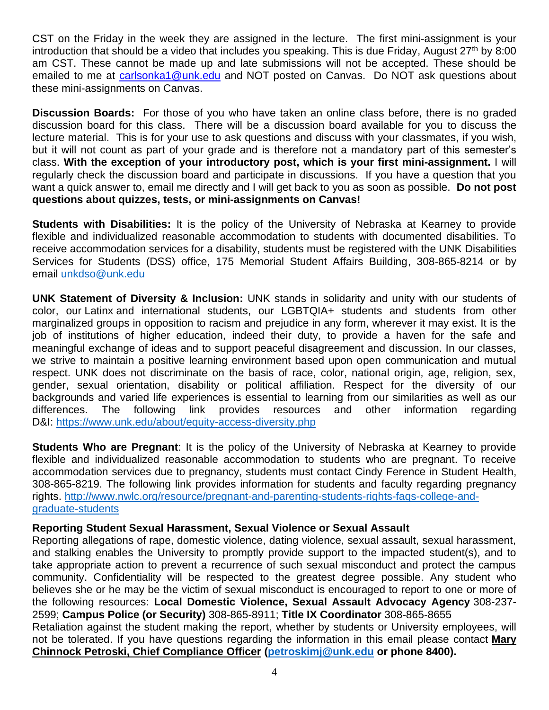CST on the Friday in the week they are assigned in the lecture. The first mini-assignment is your introduction that should be a video that includes you speaking. This is due Friday, August  $27<sup>th</sup>$  by 8:00 am CST. These cannot be made up and late submissions will not be accepted. These should be emailed to me at [carlsonka1@unk.edu](mailto:carlsonka1@unk.edu) and NOT posted on Canvas. Do NOT ask questions about these mini-assignments on Canvas.

**Discussion Boards:** For those of you who have taken an online class before, there is no graded discussion board for this class. There will be a discussion board available for you to discuss the lecture material. This is for your use to ask questions and discuss with your classmates, if you wish, but it will not count as part of your grade and is therefore not a mandatory part of this semester's class. **With the exception of your introductory post, which is your first mini-assignment.** I will regularly check the discussion board and participate in discussions. If you have a question that you want a quick answer to, email me directly and I will get back to you as soon as possible. **Do not post questions about quizzes, tests, or mini-assignments on Canvas!** 

**Students with Disabilities:** It is the policy of the University of Nebraska at Kearney to provide flexible and individualized reasonable accommodation to students with documented disabilities. To receive accommodation services for a disability, students must be registered with the UNK Disabilities Services for Students (DSS) office, 175 Memorial Student Affairs Building, 308-865-8214 or by email [unkdso@unk.edu](mailto:unkdso@unk.edu)

**UNK Statement of Diversity & Inclusion:** UNK stands in solidarity and unity with our students of color, our Latinx and international students, our LGBTQIA+ students and students from other marginalized groups in opposition to racism and prejudice in any form, wherever it may exist. It is the job of institutions of higher education, indeed their duty, to provide a haven for the safe and meaningful exchange of ideas and to support peaceful disagreement and discussion. In our classes, we strive to maintain a positive learning environment based upon open communication and mutual respect. UNK does not discriminate on the basis of race, color, national origin, age, religion, sex, gender, sexual orientation, disability or political affiliation. Respect for the diversity of our backgrounds and varied life experiences is essential to learning from our similarities as well as our differences. The following link provides resources and other information regarding D&I: <https://www.unk.edu/about/equity-access-diversity.php>

**Students Who are Pregnant**: It is the policy of the University of Nebraska at Kearney to provide flexible and individualized reasonable accommodation to students who are pregnant. To receive accommodation services due to pregnancy, students must contact Cindy Ference in Student Health, 308-865-8219. The following link provides information for students and faculty regarding pregnancy rights. [http://www.nwlc.org/resource/pregnant-and-parenting-students-rights-faqs-college-and](https://urldefense.proofpoint.com/v2/url?u=http-3A__www.nwlc.org_resource_pregnant-2Dand-2Dparenting-2Dstudents-2Drights-2Dfaqs-2Dcollege-2Dand-2Dgraduate-2Dstudents&d=DwMFAg&c=Cu5g146wZdoqVuKpTNsYHeFX_rg6kWhlkLF8Eft-wwo&r=BJkIhAaMtWY7PlqIhIOyVw&m=RgBL3s2VNHfvD5ReMK2q_PhwYU8dbEt1vxs1BO4WkpQ&s=MmB91XAzaW-E7UPMXPGx9tWJQbTWJYyYzM8gLjhEzQ0&e=)[graduate-students](https://urldefense.proofpoint.com/v2/url?u=http-3A__www.nwlc.org_resource_pregnant-2Dand-2Dparenting-2Dstudents-2Drights-2Dfaqs-2Dcollege-2Dand-2Dgraduate-2Dstudents&d=DwMFAg&c=Cu5g146wZdoqVuKpTNsYHeFX_rg6kWhlkLF8Eft-wwo&r=BJkIhAaMtWY7PlqIhIOyVw&m=RgBL3s2VNHfvD5ReMK2q_PhwYU8dbEt1vxs1BO4WkpQ&s=MmB91XAzaW-E7UPMXPGx9tWJQbTWJYyYzM8gLjhEzQ0&e=)

### **Reporting Student Sexual Harassment, Sexual Violence or Sexual Assault**

Reporting allegations of rape, domestic violence, dating violence, sexual assault, sexual harassment, and stalking enables the University to promptly provide support to the impacted student(s), and to take appropriate action to prevent a recurrence of such sexual misconduct and protect the campus community. Confidentiality will be respected to the greatest degree possible. Any student who believes she or he may be the victim of sexual misconduct is encouraged to report to one or more of the following resources: **Local Domestic Violence, Sexual Assault Advocacy Agency** 308-237- 2599; **Campus Police (or Security)** 308-865-8911; **Title IX Coordinator** 308-865-8655 Retaliation against the student making the report, whether by students or University employees, will not be tolerated. If you have questions regarding the information in this email please contact **Mary** 

**Chinnock Petroski, Chief Compliance Officer [\(petroskimj@unk.edu](mailto:petroskimj@unk.edu) or phone 8400).**